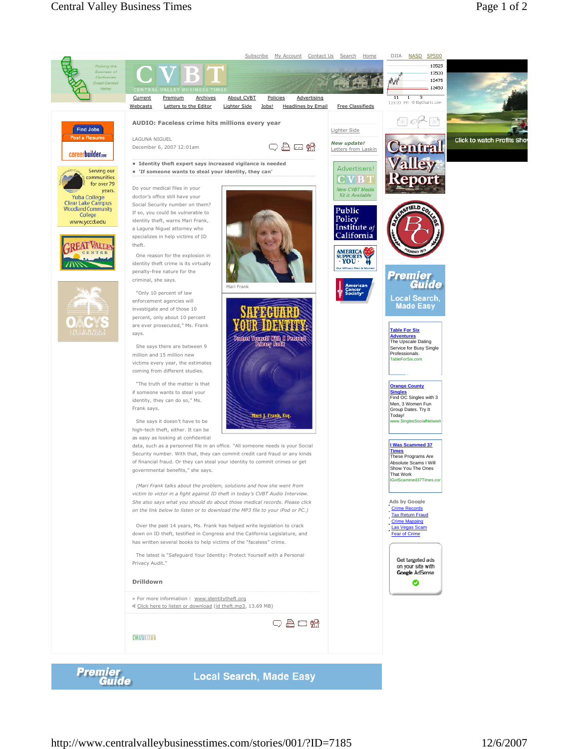